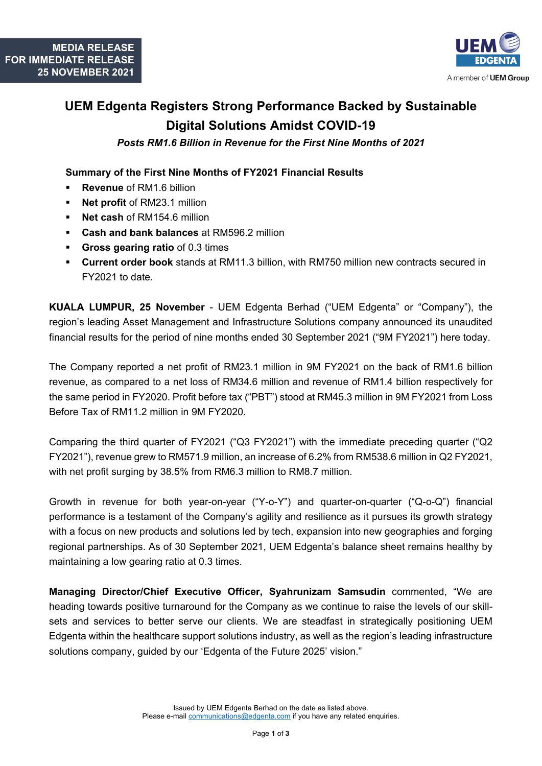

## **UEM Edgenta Registers Strong Performance Backed by Sustainable Digital Solutions Amidst COVID-19**

*Posts RM1.6 Billion in Revenue for the First Nine Months of 2021*

## **Summary of the First Nine Months of FY2021 Financial Results**

- **Revenue** of RM1.6 billion
- **Net profit** of RM23.1 million
- **Net cash of RM154.6 million**
- **Cash and bank balances** at RM596.2 million
- **Gross gearing ratio** of 0.3 times
- **Current order book** stands at RM11.3 billion, with RM750 million new contracts secured in FY2021 to date.

**KUALA LUMPUR, 25 November** - UEM Edgenta Berhad ("UEM Edgenta" or "Company"), the region's leading Asset Management and Infrastructure Solutions company announced its unaudited financial results for the period of nine months ended 30 September 2021 ("9M FY2021") here today.

The Company reported a net profit of RM23.1 million in 9M FY2021 on the back of RM1.6 billion revenue, as compared to a net loss of RM34.6 million and revenue of RM1.4 billion respectively for the same period in FY2020. Profit before tax ("PBT") stood at RM45.3 million in 9M FY2021 from Loss Before Tax of RM11.2 million in 9M FY2020.

Comparing the third quarter of FY2021 ("Q3 FY2021") with the immediate preceding quarter ("Q2 FY2021"), revenue grew to RM571.9 million, an increase of 6.2% from RM538.6 million in Q2 FY2021, with net profit surging by 38.5% from RM6.3 million to RM8.7 million.

Growth in revenue for both year-on-year ("Y-o-Y") and quarter-on-quarter ("Q-o-Q") financial performance is a testament of the Company's agility and resilience as it pursues its growth strategy with a focus on new products and solutions led by tech, expansion into new geographies and forging regional partnerships. As of 30 September 2021, UEM Edgenta's balance sheet remains healthy by maintaining a low gearing ratio at 0.3 times.

**Managing Director/Chief Executive Officer, Syahrunizam Samsudin** commented, "We are heading towards positive turnaround for the Company as we continue to raise the levels of our skillsets and services to better serve our clients. We are steadfast in strategically positioning UEM Edgenta within the healthcare support solutions industry, as well as the region's leading infrastructure solutions company, guided by our 'Edgenta of the Future 2025' vision."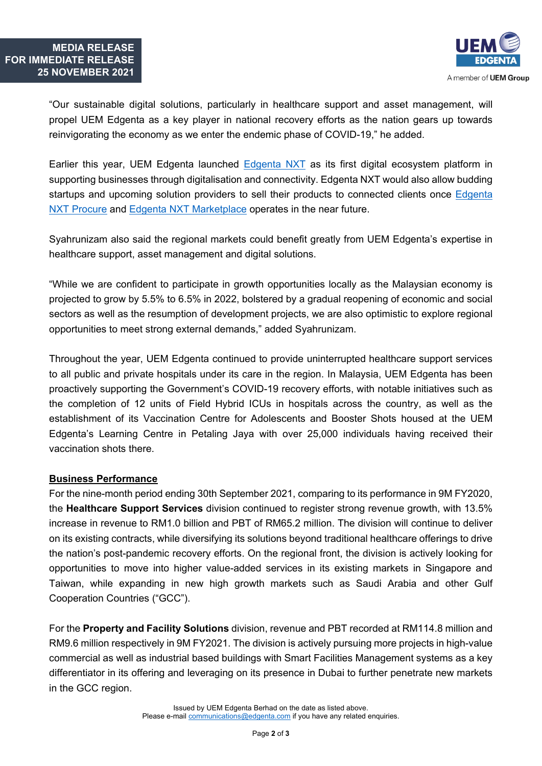

"Our sustainable digital solutions, particularly in healthcare support and asset management, will propel UEM Edgenta as a key player in national recovery efforts as the nation gears up towards reinvigorating the economy as we enter the endemic phase of COVID-19," he added.

Earlier this year, UEM Edgenta launched [Edgenta NXT](https://www.uemedgenta.com/media/news-announcements/uem-edgenta-launches-its-first-digital-ecosystem-platform-edgenta-nxt) as its first digital ecosystem platform in supporting businesses through digitalisation and connectivity. Edgenta NXT would also allow budding startups and upcoming solution providers to sell their products to connected clients once [Edgenta](https://www.edgentanxt.com/procure)  [NXT Procure](https://www.edgentanxt.com/procure) and [Edgenta NXT Marketplace](https://www.edgentanxt.com/marketplace) operates in the near future.

Syahrunizam also said the regional markets could benefit greatly from UEM Edgenta's expertise in healthcare support, asset management and digital solutions.

"While we are confident to participate in growth opportunities locally as the Malaysian economy is projected to grow by 5.5% to 6.5% in 2022, bolstered by a gradual reopening of economic and social sectors as well as the resumption of development projects, we are also optimistic to explore regional opportunities to meet strong external demands," added Syahrunizam.

Throughout the year, UEM Edgenta continued to provide uninterrupted healthcare support services to all public and private hospitals under its care in the region. In Malaysia, UEM Edgenta has been proactively supporting the Government's COVID-19 recovery efforts, with notable initiatives such as the completion of 12 units of Field Hybrid ICUs in hospitals across the country, as well as the establishment of its Vaccination Centre for Adolescents and Booster Shots housed at the UEM Edgenta's Learning Centre in Petaling Jaya with over 25,000 individuals having received their vaccination shots there.

## **Business Performance**

For the nine-month period ending 30th September 2021, comparing to its performance in 9M FY2020, the **Healthcare Support Services** division continued to register strong revenue growth, with 13.5% increase in revenue to RM1.0 billion and PBT of RM65.2 million. The division will continue to deliver on its existing contracts, while diversifying its solutions beyond traditional healthcare offerings to drive the nation's post-pandemic recovery efforts. On the regional front, the division is actively looking for opportunities to move into higher value-added services in its existing markets in Singapore and Taiwan, while expanding in new high growth markets such as Saudi Arabia and other Gulf Cooperation Countries ("GCC").

For the **Property and Facility Solutions** division, revenue and PBT recorded at RM114.8 million and RM9.6 million respectively in 9M FY2021. The division is actively pursuing more projects in high-value commercial as well as industrial based buildings with Smart Facilities Management systems as a key differentiator in its offering and leveraging on its presence in Dubai to further penetrate new markets in the GCC region.

> Issued by UEM Edgenta Berhad on the date as listed above. Please e-mail [communications@edgenta.com](mailto:communications@edgenta.com) if you have any related enquiries.